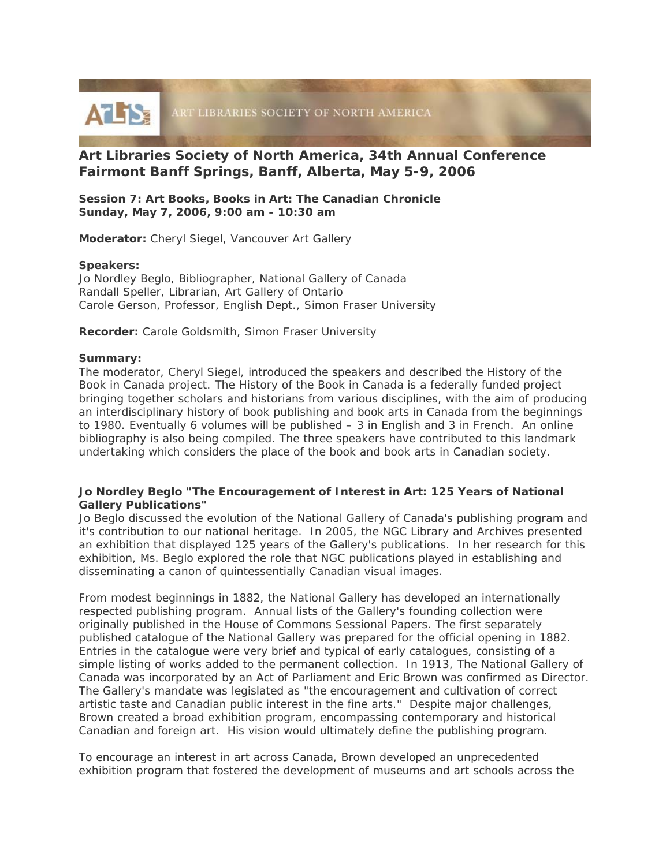

# **Art Libraries Society of North America, 34th Annual Conference Fairmont Banff Springs, Banff, Alberta, May 5-9, 2006**

**Session 7: Art Books, Books in Art: The Canadian Chronicle Sunday, May 7, 2006, 9:00 am - 10:30 am** 

**Moderator:** Cheryl Siegel, Vancouver Art Gallery

### **Speakers:**

Jo Nordley Beglo, Bibliographer, National Gallery of Canada Randall Speller, Librarian, Art Gallery of Ontario Carole Gerson, Professor, English Dept., Simon Fraser University

**Recorder:** Carole Goldsmith, Simon Fraser University

#### **Summary:**

The moderator, Cheryl Siegel, introduced the speakers and described the *History of the Book in Canada* project. The *History of the Book in Canada* is a federally funded project bringing together scholars and historians from various disciplines, with the aim of producing an interdisciplinary history of book publishing and book arts in Canada from the beginnings to 1980. Eventually 6 volumes will be published – 3 in English and 3 in French. An online bibliography is also being compiled. The three speakers have contributed to this landmark undertaking which considers the place of the book and book arts in Canadian society.

### **Jo Nordley Beglo "The Encouragement of Interest in Art: 125 Years of National Gallery Publications"**

Jo Beglo discussed the evolution of the National Gallery of Canada's publishing program and it's contribution to our national heritage. In 2005, the NGC Library and Archives presented an exhibition that displayed 125 years of the Gallery's publications. In her research for this exhibition, Ms. Beglo explored the role that NGC publications played in establishing and disseminating a canon of quintessentially Canadian visual images.

From modest beginnings in 1882, the National Gallery has developed an internationally respected publishing program. Annual lists of the Gallery's founding collection were originally published in the House of Commons *Sessional Pap*e*rs*. The first separately published catalogue of the National Gallery was prepared for the official opening in 1882. Entries in the catalogue were very brief and typical of early catalogues, consisting of a simple listing of works added to the permanent collection. In 1913, The National Gallery of Canada was incorporated by an Act of Parliament and Eric Brown was confirmed as Director. The Gallery's mandate was legislated as "the encouragement and cultivation of correct artistic taste and Canadian public interest in the fine arts." Despite major challenges, Brown created a broad exhibition program, encompassing contemporary and historical Canadian and foreign art. His vision would ultimately define the publishing program.

To encourage an interest in art across Canada, Brown developed an unprecedented exhibition program that fostered the development of museums and art schools across the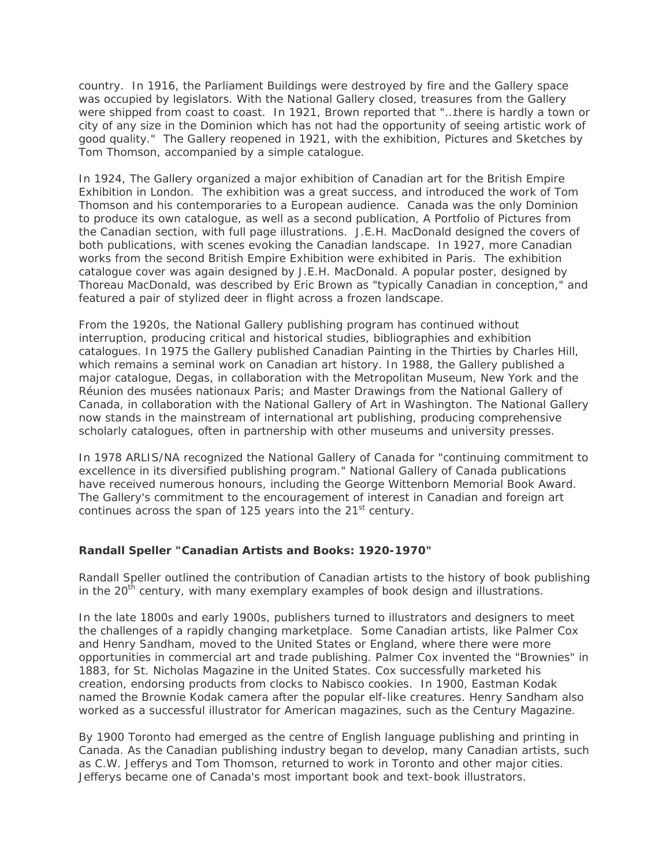country. In 1916, the Parliament Buildings were destroyed by fire and the Gallery space was occupied by legislators. With the National Gallery closed, treasures from the Gallery were shipped from coast to coast. In 1921, Brown reported that "…there is hardly a town or city of any size in the Dominion which has not had the opportunity of seeing artistic work of good quality." The Gallery reopened in 1921, with the exhibition, *Pictures and Sketches by Tom Thomson*, accompanied by a simple catalogue.

In 1924, The Gallery organized a major exhibition of Canadian art for the British Empire Exhibition in London. The exhibition was a great success, and introduced the work of Tom Thomson and his contemporaries to a European audience. Canada was the only Dominion to produce its own catalogue, as well as a second publication, *A Portfolio of Pictures from the Canadian section*, with full page illustrations. J.E.H. MacDonald designed the covers of both publications, with scenes evoking the Canadian landscape. In 1927, more Canadian works from the second British Empire Exhibition were exhibited in Paris. The exhibition catalogue cover was again designed by J.E.H. MacDonald. A popular poster, designed by Thoreau MacDonald, was described by Eric Brown as "typically Canadian in conception," and featured a pair of stylized deer in flight across a frozen landscape.

From the 1920s, the National Gallery publishing program has continued without interruption, producing critical and historical studies, bibliographies and exhibition catalogues. In 1975 the Gallery published *Canadian Painting in the Thirties* by Charles Hill, which remains a seminal work on Canadian art history. In 1988, the Gallery published a major catalogue, *Degas*, in collaboration with the Metropolitan Museum, New York and the Réunion des musées nationaux Paris; and *Master Drawings from the National Gallery of Canada*, in collaboration with the National Gallery of Art in Washington. The National Gallery now stands in the mainstream of international art publishing, producing comprehensive scholarly catalogues, often in partnership with other museums and university presses.

In 1978 ARLIS/NA recognized the National Gallery of Canada for "continuing commitment to excellence in its diversified publishing program." National Gallery of Canada publications have received numerous honours, including the George Wittenborn Memorial Book Award. The Gallery's commitment to the encouragement of interest in Canadian and foreign art continues across the span of 125 years into the  $21<sup>st</sup>$  century.

## **Randall Speller "Canadian Artists and Books: 1920-1970"**

Randall Speller outlined the contribution of Canadian artists to the history of book publishing in the  $20<sup>th</sup>$  century, with many exemplary examples of book design and illustrations.

In the late 1800s and early 1900s, publishers turned to illustrators and designers to meet the challenges of a rapidly changing marketplace. Some Canadian artists, like Palmer Cox and Henry Sandham, moved to the United States or England, where there were more opportunities in commercial art and trade publishing. Palmer Cox invented the "Brownies" in 1883, for *St. Nicholas Magazine* in the United States*.* Cox successfully marketed his creation, endorsing products from clocks to Nabisco cookies. In 1900, Eastman Kodak named the Brownie Kodak camera after the popular elf-like creatures. Henry Sandham also worked as a successful illustrator for American magazines, such as *the Century Magazine*.

By 1900 Toronto had emerged as the centre of English language publishing and printing in Canada. As the Canadian publishing industry began to develop, many Canadian artists, such as C.W. Jefferys and Tom Thomson, returned to work in Toronto and other major cities. Jefferys became one of Canada's most important book and text-book illustrators.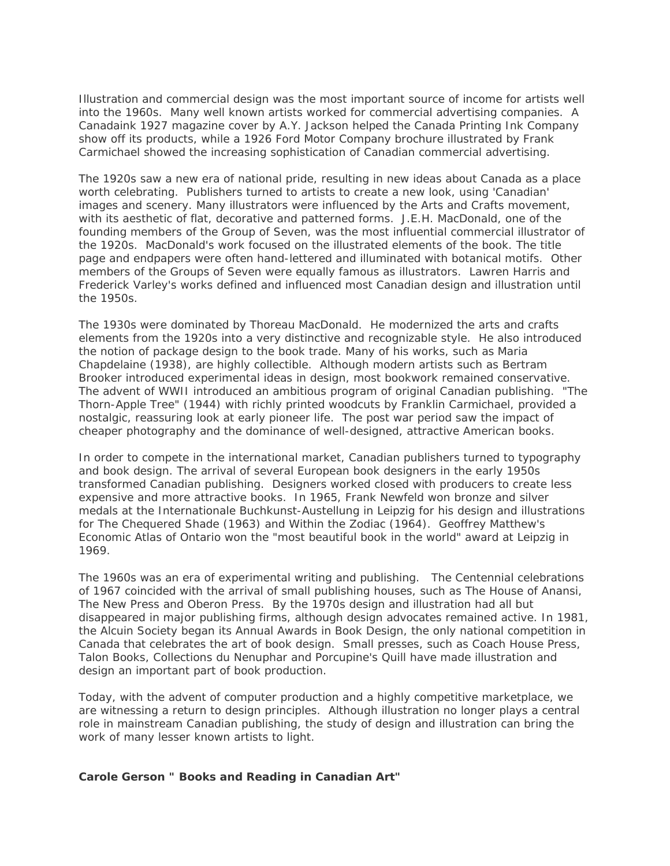Illustration and commercial design was the most important source of income for artists well into the 1960s. Many well known artists worked for commercial advertising companies. A *Canadaink* 1927 magazine cover by A.Y. Jackson helped the Canada Printing Ink Company show off its products, while a 1926 Ford Motor Company brochure illustrated by Frank Carmichael showed the increasing sophistication of Canadian commercial advertising.

The 1920s saw a new era of national pride, resulting in new ideas about Canada as a place worth celebrating. Publishers turned to artists to create a new look, using 'Canadian' images and scenery. Many illustrators were influenced by the Arts and Crafts movement, with its aesthetic of flat, decorative and patterned forms. J.E.H. MacDonald, one of the founding members of the Group of Seven, was the most influential commercial illustrator of the 1920s. MacDonald's work focused on the illustrated elements of the book. The title page and endpapers were often hand-lettered and illuminated with botanical motifs. Other members of the Groups of Seven were equally famous as illustrators. Lawren Harris and Frederick Varley's works defined and influenced most Canadian design and illustration until the 1950s.

The 1930s were dominated by Thoreau MacDonald. He modernized the arts and crafts elements from the 1920s into a very distinctive and recognizable style. He also introduced the notion of package design to the book trade. Many of his works, such as *Maria Chapdelaine* (1938), are highly collectible. Although modern artists such as Bertram Brooker introduced experimental ideas in design, most bookwork remained conservative. The advent of WWII introduced an ambitious program of original Canadian publishing. "The Thorn-Apple Tree" (1944) with richly printed woodcuts by Franklin Carmichael, provided a nostalgic, reassuring look at early pioneer life. The post war period saw the impact of cheaper photography and the dominance of well-designed, attractive American books.

In order to compete in the international market, Canadian publishers turned to typography and book design. The arrival of several European book designers in the early 1950s transformed Canadian publishing. Designers worked closed with producers to create less expensive and more attractive books. In 1965, Frank Newfeld won bronze and silver medals at the Internationale Buchkunst-Austellung in Leipzig for his design and illustrations for *The Chequered Shade* (1963) and *Within the Zodiac* (1964). Geoffrey Matthew's *Economic Atlas of Ontario* won the "most beautiful book in the world" award at Leipzig in 1969.

The 1960s was an era of experimental writing and publishing. The Centennial celebrations of 1967 coincided with the arrival of small publishing houses, such as The House of Anansi, The New Press and Oberon Press. By the 1970s design and illustration had all but disappeared in major publishing firms, although design advocates remained active. In 1981, the Alcuin Society began its Annual Awards in Book Design, the only national competition in Canada that celebrates the art of book design. Small presses, such as Coach House Press, Talon Books, Collections du Nenuphar and Porcupine's Quill have made illustration and design an important part of book production.

Today, with the advent of computer production and a highly competitive marketplace, we are witnessing a return to design principles. Although illustration no longer plays a central role in mainstream Canadian publishing, the study of design and illustration can bring the work of many lesser known artists to light.

### **Carole Gerson " Books and Reading in Canadian Art"**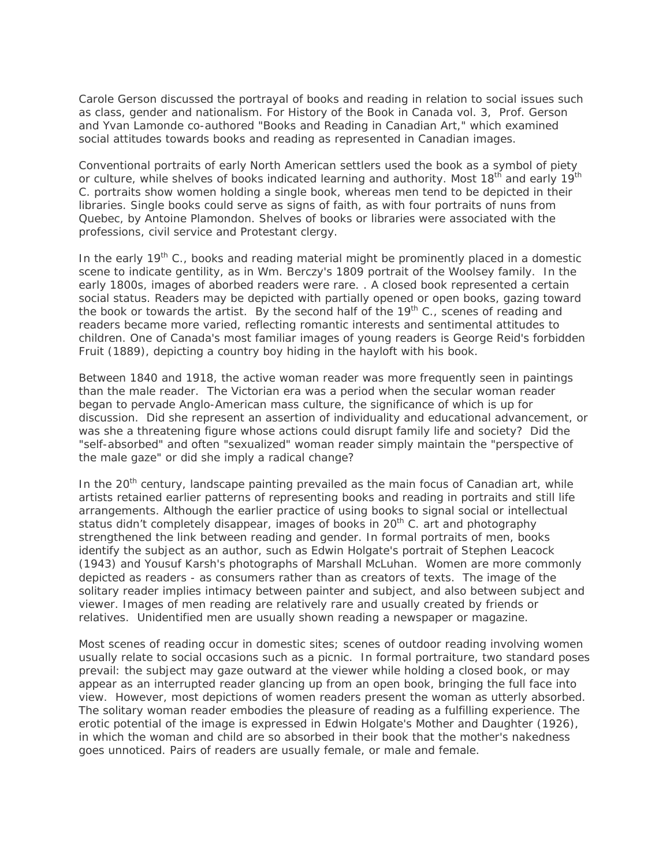Carole Gerson discussed the portrayal of books and reading in relation to social issues such as class, gender and nationalism. For *History of the Book in Canada* vol. 3, Prof. Gerson and Yvan Lamonde co-authored "Books and Reading in Canadian Art," which examined social attitudes towards books and reading as represented in Canadian images.

Conventional portraits of early North American settlers used the book as a symbol of piety or culture, while shelves of books indicated learning and authority. Most 18<sup>th</sup> and early 19<sup>th</sup> C. portraits show women holding a single book, whereas men tend to be depicted in their libraries. Single books could serve as signs of faith, as with four portraits of nuns from Quebec, by Antoine Plamondon. Shelves of books or libraries were associated with the professions, civil service and Protestant clergy.

In the early  $19<sup>th</sup>$  C., books and reading material might be prominently placed in a domestic scene to indicate gentility, as in Wm. Berczy's 1809 portrait of the Woolsey family. In the early 1800s, images of aborbed readers were rare. . A closed book represented a certain social status. Readers may be depicted with partially opened or open books, gazing toward the book or towards the artist. By the second half of the  $19<sup>th</sup>$  C., scenes of reading and readers became more varied, reflecting romantic interests and sentimental attitudes to children. One of Canada's most familiar images of young readers is George Reid's forbidden Fruit (1889), depicting a country boy hiding in the hayloft with his book.

Between 1840 and 1918, the active woman reader was more frequently seen in paintings than the male reader. The Victorian era was a period when the secular woman reader began to pervade Anglo-American mass culture, the significance of which is up for discussion. Did she represent an assertion of individuality and educational advancement, or was she a threatening figure whose actions could disrupt family life and society? Did the "self-absorbed" and often "sexualized" woman reader simply maintain the "perspective of the male gaze" or did she imply a radical change?

In the 20<sup>th</sup> century, landscape painting prevailed as the main focus of Canadian art, while artists retained earlier patterns of representing books and reading in portraits and still life arrangements. Although the earlier practice of using books to signal social or intellectual status didn't completely disappear, images of books in 20<sup>th</sup> C. art and photography strengthened the link between reading and gender. In formal portraits of men, books identify the subject as an author, such as Edwin Holgate's portrait of Stephen Leacock (1943) and Yousuf Karsh's photographs of Marshall McLuhan. Women are more commonly depicted as readers - as consumers rather than as creators of texts. The image of the solitary reader implies intimacy between painter and subject, and also between subject and viewer. Images of men reading are relatively rare and usually created by friends or relatives. Unidentified men are usually shown reading a newspaper or magazine.

Most scenes of reading occur in domestic sites; scenes of outdoor reading involving women usually relate to social occasions such as a picnic. In formal portraiture, two standard poses prevail: the subject may gaze outward at the viewer while holding a closed book, or may appear as an interrupted reader glancing up from an open book, bringing the full face into view. However, most depictions of women readers present the woman as utterly absorbed. The solitary woman reader embodies the pleasure of reading as a fulfilling experience. The erotic potential of the image is expressed in Edwin Holgate's Mother and Daughter (1926), in which the woman and child are so absorbed in their book that the mother's nakedness goes unnoticed. Pairs of readers are usually female, or male and female.